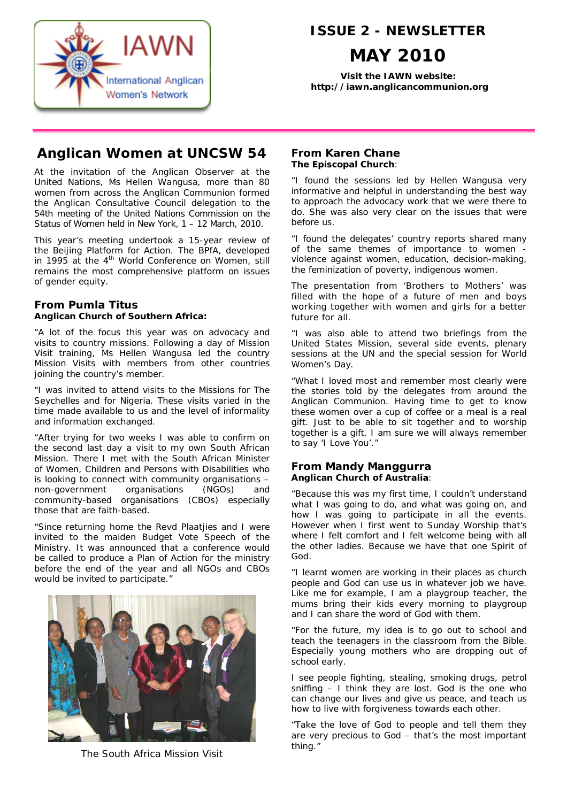

# **ISSUE 2 - NEWSLETTER**

# **MAY 2010**

**Visit the IAWN website: http://iawn.anglicancommunion.org**

# **Anglican Women at UNCSW 54**

At the invitation of the Anglican Observer at the United Nations, Ms Hellen Wangusa, more than 80 women from across the Anglican Communion formed the Anglican Consultative Council delegation to the 54th meeting of the United Nations Commission on the Status of Women held in New York, 1 – 12 March, 2010.

This year's meeting undertook a 15-year review of the Beijing Platform for Action. The BPfA, developed in 1995 at the 4<sup>th</sup> World Conference on Women, still remains the most comprehensive platform on issues of gender equity.

## **From Pumla Titus Anglican Church of Southern Africa:**

"A lot of the focus this year was on advocacy and visits to country missions. Following a day of Mission Visit training, Ms Hellen Wangusa led the country Mission Visits with members from other countries joining the country's member.

"I was invited to attend visits to the Missions for The Seychelles and for Nigeria. These visits varied in the time made available to us and the level of informality and information exchanged.

"After trying for two weeks I was able to confirm on the second last day a visit to my own South African Mission. There I met with the South African Minister of Women, Children and Persons with Disabilities who is looking to connect with community organisations – non-government organisations (NGOs) and community-based organisations (CBOs) especially those that are faith-based.

"Since returning home the Revd Plaatjies and I were invited to the maiden Budget Vote Speech of the Ministry. It was announced that a conference would be called to produce a Plan of Action for the ministry before the end of the year and all NGOs and CBOs would be invited to participate."



The South Africa Mission Visit

# **From Karen Chane The Episcopal Church**:

"I found the sessions led by Hellen Wangusa very informative and helpful in understanding the best way to approach the advocacy work that we were there to do. She was also very clear on the issues that were before us.

"I found the delegates' country reports shared many of the same themes of importance to women violence against women, education, decision-making, the feminization of poverty, indigenous women.

The presentation from 'Brothers to Mothers' was filled with the hope of a future of men and boys working together with women and girls for a better future for all.

"I was also able to attend two briefings from the United States Mission, several side events, plenary sessions at the UN and the special session for World Women's Day.

"What I loved most and remember most clearly were the stories told by the delegates from around the Anglican Communion. Having time to get to know these women over a cup of coffee or a meal is a real gift. Just to be able to sit together and to worship together is a gift. I am sure we will always remember to say 'I Love You'."

# **From Mandy Manggurra Anglican Church of Australia**:

"Because this was my first time, I couldn't understand what I was going to do, and what was going on, and how I was going to participate in all the events. However when I first went to Sunday Worship that's where I felt comfort and I felt welcome being with all the other ladies. Because we have that one Spirit of God.

"I learnt women are working in their places as church people and God can use us in whatever job we have. Like me for example, I am a playgroup teacher, the mums bring their kids every morning to playgroup and I can share the word of God with them.

"For the future, my idea is to go out to school and teach the teenagers in the classroom from the Bible. Especially young mothers who are dropping out of school early.

I see people fighting, stealing, smoking drugs, petrol sniffing – I think they are lost. God is the one who can change our lives and give us peace, and teach us how to live with forgiveness towards each other.

"Take the love of God to people and tell them they are very precious to God – that's the most important thing."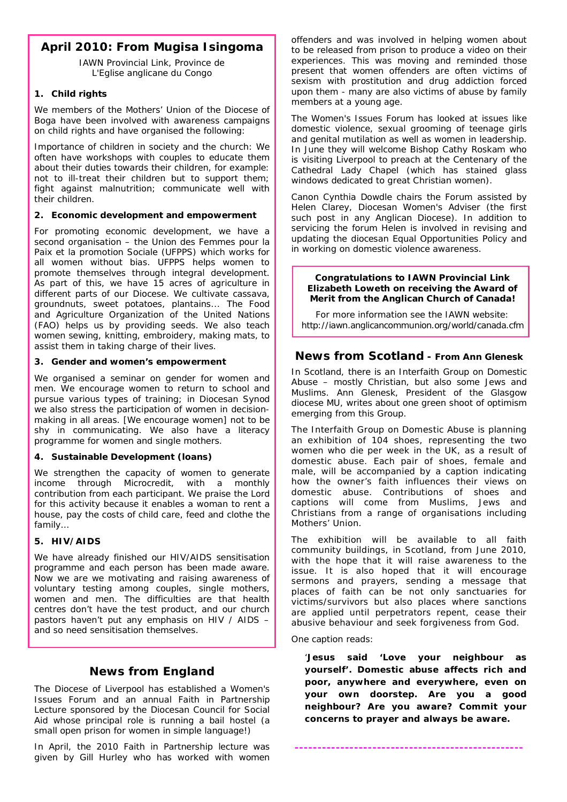# **April 2010: From Mugisa Isingoma**

IAWN Provincial Link, Province de L'Eglise anglicane du Congo

### **1. Child rights**

We members of the Mothers' Union of the Diocese of Boga have been involved with awareness campaigns on child rights and have organised the following:

Importance of children in society and the church: We often have workshops with couples to educate them about their duties towards their children, for example: not to ill-treat their children but to support them; fight against malnutrition; communicate well with their children.

### **2. Economic development and empowerment**

For promoting economic development, we have a second organisation – the Union des Femmes pour la Paix et la promotion Sociale (UFPPS) which works for all women without bias. UFPPS helps women to promote themselves through integral development. As part of this, we have 15 acres of agriculture in different parts of our Diocese. We cultivate cassava, groundnuts, sweet potatoes, plantains... The Food and Agriculture Organization of the United Nations (FAO) helps us by providing seeds. We also teach women sewing, knitting, embroidery, making mats, to assist them in taking charge of their lives.

### **3. Gender and women's empowerment**

We organised a seminar on gender for women and men. We encourage women to return to school and pursue various types of training; in Diocesan Synod we also stress the participation of women in decisionmaking in all areas. [We encourage women] not to be shy in communicating. We also have a literacy programme for women and single mothers.

## **4. Sustainable Development (loans)**

We strengthen the capacity of women to generate income through Microcredit, with a monthly contribution from each participant. We praise the Lord for this activity because it enables a woman to rent a house, pay the costs of child care, feed and clothe the family…

## **5. HIV/AIDS**

We have already finished our HIV/AIDS sensitisation programme and each person has been made aware. Now we are we motivating and raising awareness of voluntary testing among couples, single mothers, women and men. The difficulties are that health centres don't have the test product, and our church pastors haven't put any emphasis on HIV / AIDS – and so need sensitisation themselves.

# **News from England**

The Diocese of Liverpool has established a Women's Issues Forum and an annual *Faith in Partnership* Lecture sponsored by the Diocesan Council for Social Aid whose principal role is running a bail hostel (a small open prison for women in simple language!)

In April, the 2010 *Faith in Partnership* lecture was given by Gill Hurley who has worked with women

offenders and was involved in helping women about to be released from prison to produce a video on their experiences. This was moving and reminded those present that women offenders are often victims of sexism with prostitution and drug addiction forced upon them - many are also victims of abuse by family members at a young age.

The Women's Issues Forum has looked at issues like domestic violence, sexual grooming of teenage girls and genital mutilation as well as women in leadership. In June they will welcome Bishop Cathy Roskam who is visiting Liverpool to preach at the Centenary of the Cathedral Lady Chapel (which has stained glass windows dedicated to great Christian women).

Canon Cynthia Dowdle chairs the Forum assisted by Helen Clarey, Diocesan Women's Adviser (the first such post in any Anglican Diocese). In addition to servicing the forum Helen is involved in revising and updating the diocesan Equal Opportunities Policy and in working on domestic violence awareness.

#### **Congratulations to IAWN Provincial Link Elizabeth Loweth on receiving the Award of Merit from the Anglican Church of Canada!**

For more information see the IAWN website: http://iawn.anglicancommunion.org/world/canada.cfm

# **News from Scotland - From Ann Glenesk**

*In Scotland, there is an Interfaith Group on Domestic Abuse – mostly Christian, but also some Jews and Muslims. Ann Glenesk, President of the Glasgow diocese MU, writes about one green shoot of optimism emerging from this Group.*

The Interfaith Group on Domestic Abuse is planning an exhibition of 104 shoes, representing the two women who die per week in the UK, as a result of domestic abuse. Each pair of shoes, female and male, will be accompanied by a caption indicating how the owner's faith influences their views on domestic abuse. Contributions of shoes and captions will come from Muslims, Jews and Christians from a range of organisations including Mothers' Union.

The exhibition will be available to all faith community buildings, in Scotland, from June 2010, with the hope that it will raise awareness to the issue. It is also hoped that it will encourage sermons and prayers, sending a message that places of faith can be not only sanctuaries for victims/survivors but also places where sanctions are applied until perpetrators repent, cease their abusive behaviour and seek forgiveness from God.

One caption reads:

'**Jesus said 'Love your neighbour as yourself'. Domestic abuse affects rich and poor, anywhere and everywhere, even on your own doorstep. Are you a good neighbour? Are you aware? Commit your concerns to prayer and always be aware.** 

**--------------------------------------------------**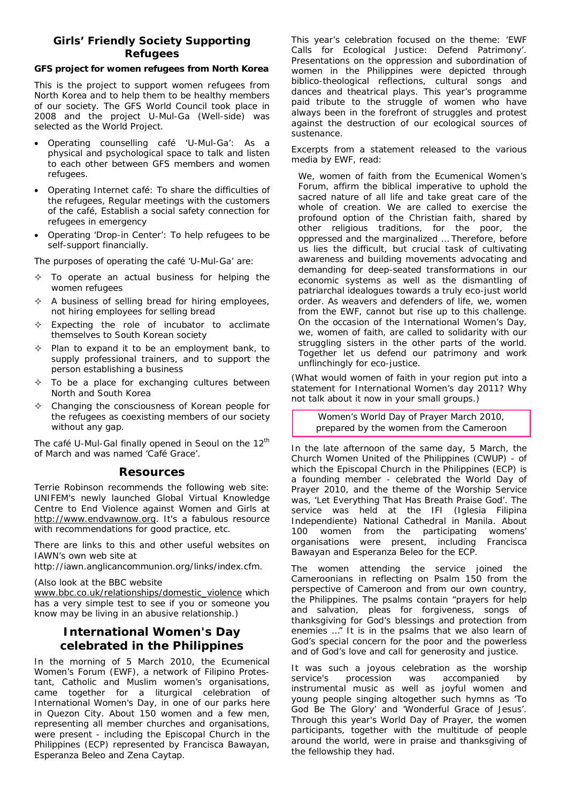# **Girls' Friendly Society Supporting Refugees**

#### **GFS project for women refugees from North Korea**

This is the project to support women refugees from North Korea and to help them to be healthy members of our society. The GFS World Council took place in 2008 and the project U-Mul-Ga (Well-side) was selected as the World Project.

- Operating counselling café 'U-Mul-Ga': As a physical and psychological space to talk and listen to each other between GFS members and women refugees.
- Operating Internet café: To share the difficulties of the refugees, Regular meetings with the customers of the café, Establish a social safety connection for refugees in emergency
- Operating 'Drop-in Center': To help refugees to be self-support financially.

The purposes of operating the café 'U-Mul-Ga' are:

- To operate an actual business for helping the women refugees
- $\triangle$  A business of selling bread for hiring employees, not hiring employees for selling bread
- $\triangle$  Expecting the role of incubator to acclimate themselves to South Korean society
- $\Diamond$  Plan to expand it to be an employment bank, to supply professional trainers, and to support the person establishing a business
- To be a place for exchanging cultures between North and South Korea
- Changing the consciousness of Korean people for the refugees as coexisting members of our society without any gap.

The café U-Mul-Gal finally opened in Seoul on the 12<sup>th</sup> of March and was named 'Café Grace'.

## **Resources**

Terrie Robinson recommends the following web site: UNIFEM's newly launched Global Virtual Knowledge Centre to End Violence against Women and Girls at http://www.endvawnow.org. It's a fabulous resource with recommendations for good practice, etc.

There are links to this and other useful websites on IAWN's own web site at

http://iawn.anglicancommunion.org/links/index.cfm.

#### (Also look at the BBC website

www.bbc.co.uk/relationships/domestic\_violence which has a very simple test to see if you or someone you know may be living in an abusive relationship.)

# **International Women's Day celebrated in the Philippines**

In the morning of 5 March 2010, the Ecumenical Women's Forum (EWF), a network of Filipino Protestant, Catholic and Muslim women's organisations, came together for a liturgical celebration of International Women's Day, in one of our parks here in Quezon City. About 150 women and a few men, representing all member churches and organisations, were present - including the Episcopal Church in the Philippines (ECP) represented by Francisca Bawayan, Esperanza Beleo and Zena Caytap.

This year's celebration focused on the theme: 'EWF Calls for Ecological Justice: Defend Patrimony'. Presentations on the oppression and subordination of women in the Philippines were depicted through biblico-theological reflections, cultural songs and dances and theatrical plays. This year's programme paid tribute to the struggle of women who have always been in the forefront of struggles and protest against the destruction of our ecological sources of sustenance.

Excerpts from a statement released to the various media by EWF, read:

*We, women of faith from the Ecumenical Women's Forum, affirm the biblical imperative to uphold the sacred nature of all life and take great care of the whole of creation. We are called to exercise the profound option of the Christian faith, shared by other religious traditions, for the poor, the oppressed and the marginalized … Therefore, before us lies the difficult, but crucial task of cultivating awareness and building movements advocating and demanding for deep-seated transformations in our economic systems as well as the dismantling of patriarchal idealogues towards a truly eco-just world order. As weavers and defenders of life, we, women from the EWF, cannot but rise up to this challenge. On the occasion of the International Women's Day, we, women of faith, are called to solidarity with our struggling sisters in the other parts of the world. Together let us defend our patrimony and work unflinchingly for eco-justice.*

(What would women of faith in your region put into a statement for International Women's day 2011? Why not talk about it now in your small groups.)

> Women's World Day of Prayer March 2010, prepared by the women from the Cameroon

In the late afternoon of the same day, 5 March, the Church Women United of the Philippines (CWUP) - of which the Episcopal Church in the Philippines (ECP) is a founding member - celebrated the World Day of Prayer 2010, and the theme of the Worship Service was, 'Let Everything That Has Breath Praise God'. The service was held at the IFI (Iglesia Filipina Independiente) National Cathedral in Manila. About 100 women from the participating womens' organisations were present, including Francisca Bawayan and Esperanza Beleo for the ECP.

The women attending the service joined the Cameroonians in reflecting on Psalm 150 from the perspective of Cameroon and from our own country, the Philippines. The psalms contain "prayers for help and salvation, pleas for forgiveness, songs of thanksgiving for God's blessings and protection from enemies …" It is in the psalms that we also learn of God's special concern for the poor and the powerless and of God's love and call for generosity and justice.

It was such a joyous celebration as the worship service's procession was accompanied by instrumental music as well as joyful women and young people singing altogether such hymns as 'To God Be The Glory' and 'Wonderful Grace of Jesus'. Through this year's World Day of Prayer, the women participants, together with the multitude of people around the world, were in praise and thanksgiving of the fellowship they had.